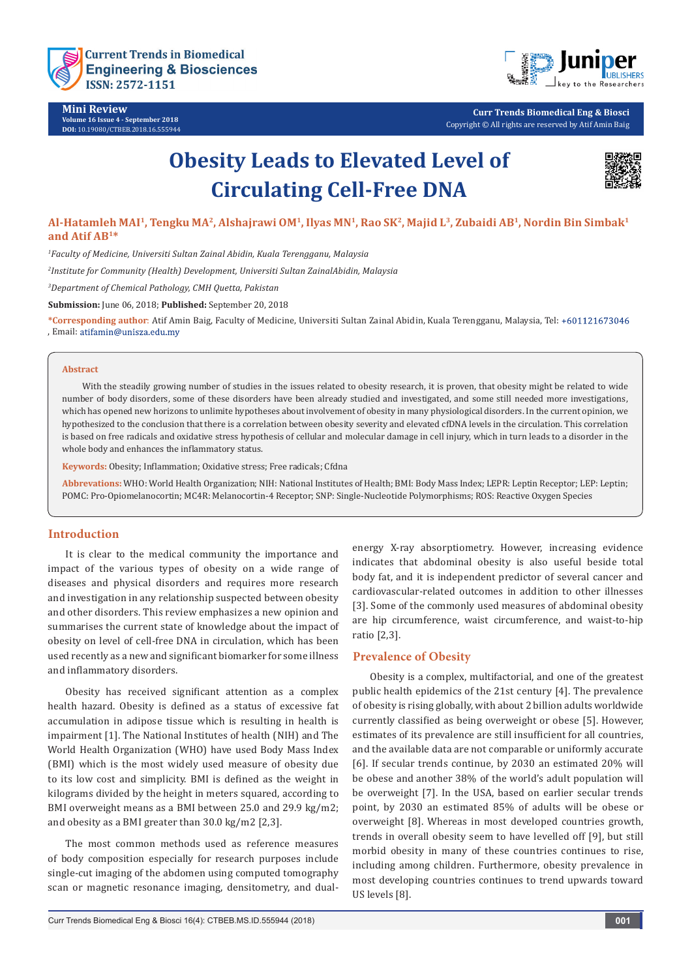

**Mini Review Volume 16 Issue 4 - September 2018 DOI:** [10.19080/CTBEB.2018.16.555944](http://dx.doi.org/10.19080/CTBEB.2018.16.555944)



**Curr Trends Biomedical Eng & Biosci** Copyright © All rights are reserved by Atif Amin Baig

# **Obesity Leads to Elevated Level of Circulating Cell-Free DNA**



# **Al-Hatamleh MAI1, Tengku MA2, Alshajrawi OM1, Ilyas MN1, Rao SK2, Majid L3, Zubaidi AB1, Nordin Bin Simbak1 and Atif AB1\***

*1 Faculty of Medicine, Universiti Sultan Zainal Abidin, Kuala Terengganu, Malaysia*

*2 Institute for Community (Health) Development, Universiti Sultan ZainalAbidin, Malaysia*

*3 Department of Chemical Pathology, CMH Quetta, Pakistan*

**Submission:** June 06, 2018; **Published:** September 20, 2018

**\*Corresponding author**: Atif Amin Baig, Faculty of Medicine, Universiti Sultan Zainal Abidin, Kuala Terengganu, Malaysia, Tel: , Email:

#### **Abstract**

 With the steadily growing number of studies in the issues related to obesity research, it is proven, that obesity might be related to wide number of body disorders, some of these disorders have been already studied and investigated, and some still needed more investigations, which has opened new horizons to unlimite hypotheses about involvement of obesity in many physiological disorders. In the current opinion, we hypothesized to the conclusion that there is a correlation between obesity severity and elevated cfDNA levels in the circulation. This correlation is based on free radicals and oxidative stress hypothesis of cellular and molecular damage in cell injury, which in turn leads to a disorder in the whole body and enhances the inflammatory status.

**Keywords:** Obesity; Inflammation; Oxidative stress; Free radicals; Cfdna

**Abbrevations:** WHO: World Health Organization; NIH: National Institutes of Health; BMI: Body Mass Index; LEPR: Leptin Receptor; LEP: Leptin; POMC: Pro-Opiomelanocortin; MC4R: Melanocortin-4 Receptor; SNP: Single-Nucleotide Polymorphisms; ROS: Reactive Oxygen Species

# **Introduction**

It is clear to the medical community the importance and impact of the various types of obesity on a wide range of diseases and physical disorders and requires more research and investigation in any relationship suspected between obesity and other disorders. This review emphasizes a new opinion and summarises the current state of knowledge about the impact of obesity on level of cell-free DNA in circulation, which has been used recently as a new and significant biomarker for some illness and inflammatory disorders.

Obesity has received significant attention as a complex health hazard. Obesity is defined as a status of excessive fat accumulation in adipose tissue which is resulting in health is impairment [1]. The National Institutes of health (NIH) and The World Health Organization (WHO) have used Body Mass Index (BMI) which is the most widely used measure of obesity due to its low cost and simplicity. BMI is defined as the weight in kilograms divided by the height in meters squared, according to BMI overweight means as a BMI between 25.0 and 29.9 kg/m2; and obesity as a BMI greater than 30.0 kg/m2 [2,3].

The most common methods used as reference measures of body composition especially for research purposes include single-cut imaging of the abdomen using computed tomography scan or magnetic resonance imaging, densitometry, and dualenergy X-ray absorptiometry. However, increasing evidence indicates that abdominal obesity is also useful beside total body fat, and it is independent predictor of several cancer and cardiovascular-related outcomes in addition to other illnesses [3]. Some of the commonly used measures of abdominal obesity are hip circumference, waist circumference, and waist-to-hip ratio [2,3].

# **Prevalence of Obesity**

Obesity is a complex, multifactorial, and one of the greatest public health epidemics of the 21st century [4]. The prevalence of obesity is rising globally, with about 2 billion adults worldwide currently classified as being overweight or obese [5]. However, estimates of its prevalence are still insufficient for all countries, and the available data are not comparable or uniformly accurate [6]. If secular trends continue, by 2030 an estimated 20% will be obese and another 38% of the world's adult population will be overweight [7]. In the USA, based on earlier secular trends point, by 2030 an estimated 85% of adults will be obese or overweight [8]. Whereas in most developed countries growth, trends in overall obesity seem to have levelled off [9], but still morbid obesity in many of these countries continues to rise, including among children. Furthermore, obesity prevalence in most developing countries continues to trend upwards toward US levels [8].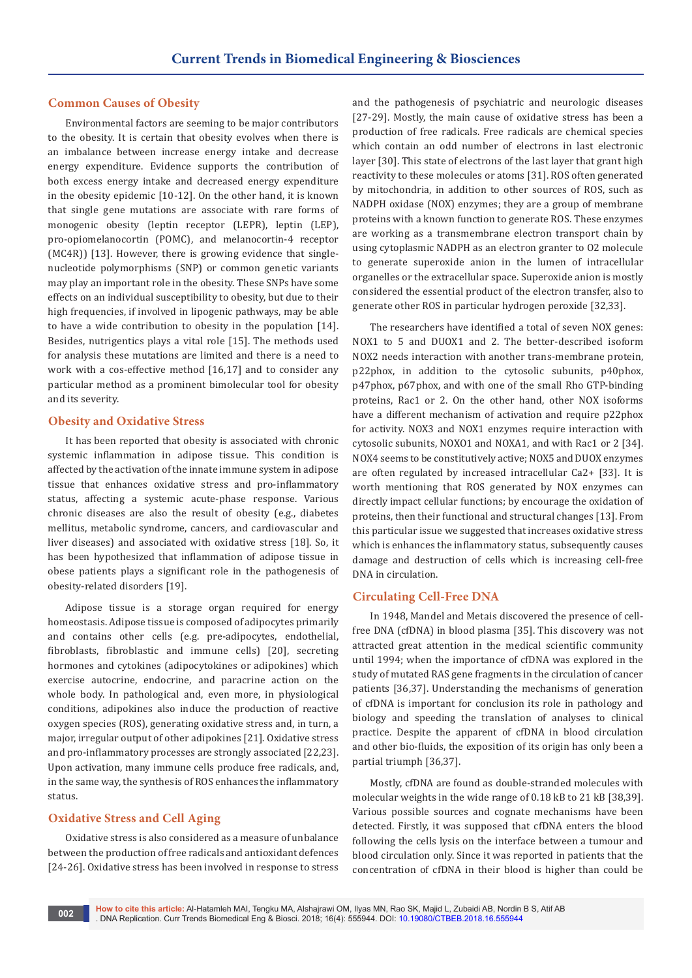# **Common Causes of Obesity**

Environmental factors are seeming to be major contributors to the obesity. It is certain that obesity evolves when there is an imbalance between increase energy intake and decrease energy expenditure. Evidence supports the contribution of both excess energy intake and decreased energy expenditure in the obesity epidemic [10-12]. On the other hand, it is known that single gene mutations are associate with rare forms of monogenic obesity (leptin receptor (LEPR), leptin (LEP), pro-opiomelanocortin (POMC), and melanocortin-4 receptor (MC4R)) [13]. However, there is growing evidence that singlenucleotide polymorphisms (SNP) or common genetic variants may play an important role in the obesity. These SNPs have some effects on an individual susceptibility to obesity, but due to their high frequencies, if involved in lipogenic pathways, may be able to have a wide contribution to obesity in the population [14]. Besides, nutrigentics plays a vital role [15]. The methods used for analysis these mutations are limited and there is a need to work with a cos-effective method [16,17] and to consider any particular method as a prominent bimolecular tool for obesity and its severity.

# **Obesity and Oxidative Stress**

It has been reported that obesity is associated with chronic systemic inflammation in adipose tissue. This condition is affected by the activation of the innate immune system in adipose tissue that enhances oxidative stress and pro-inflammatory status, affecting a systemic acute-phase response. Various chronic diseases are also the result of obesity (e.g., diabetes mellitus, metabolic syndrome, cancers, and cardiovascular and liver diseases) and associated with oxidative stress [18]. So, it has been hypothesized that inflammation of adipose tissue in obese patients plays a significant role in the pathogenesis of obesity-related disorders [19].

Adipose tissue is a storage organ required for energy homeostasis. Adipose tissue is composed of adipocytes primarily and contains other cells (e.g. pre-adipocytes, endothelial, fibroblasts, fibroblastic and immune cells) [20], secreting hormones and cytokines (adipocytokines or adipokines) which exercise autocrine, endocrine, and paracrine action on the whole body. In pathological and, even more, in physiological conditions, adipokines also induce the production of reactive oxygen species (ROS), generating oxidative stress and, in turn, a major, irregular output of other adipokines [21]. Oxidative stress and pro-inflammatory processes are strongly associated [22,23]. Upon activation, many immune cells produce free radicals, and, in the same way, the synthesis of ROS enhances the inflammatory status.

# **Oxidative Stress and Cell Aging**

Oxidative stress is also considered as a measure of unbalance between the production of free radicals and antioxidant defences [24-26]. Oxidative stress has been involved in response to stress

and the pathogenesis of psychiatric and neurologic diseases [27-29]. Mostly, the main cause of oxidative stress has been a production of free radicals. Free radicals are chemical species which contain an odd number of electrons in last electronic layer [30]. This state of electrons of the last layer that grant high reactivity to these molecules or atoms [31]. ROS often generated by mitochondria, in addition to other sources of ROS, such as NADPH oxidase (NOX) enzymes; they are a group of membrane proteins with a known function to generate ROS. These enzymes are working as a transmembrane electron transport chain by using cytoplasmic NADPH as an electron granter to O2 molecule to generate superoxide anion in the lumen of intracellular organelles or the extracellular space. Superoxide anion is mostly considered the essential product of the electron transfer, also to generate other ROS in particular hydrogen peroxide [32,33].

The researchers have identified a total of seven NOX genes: NOX1 to 5 and DUOX1 and 2. The better-described isoform NOX2 needs interaction with another trans-membrane protein, p22phox, in addition to the cytosolic subunits, p40phox, p47phox, p67phox, and with one of the small Rho GTP-binding proteins, Rac1 or 2. On the other hand, other NOX isoforms have a different mechanism of activation and require p22phox for activity. NOX3 and NOX1 enzymes require interaction with cytosolic subunits, NOXO1 and NOXA1, and with Rac1 or 2 [34]. NOX4 seems to be constitutively active; NOX5 and DUOX enzymes are often regulated by increased intracellular Ca2+ [33]. It is worth mentioning that ROS generated by NOX enzymes can directly impact cellular functions; by encourage the oxidation of proteins, then their functional and structural changes [13]. From this particular issue we suggested that increases oxidative stress which is enhances the inflammatory status, subsequently causes damage and destruction of cells which is increasing cell-free DNA in circulation.

# **Circulating Cell-Free DNA**

In 1948, Mandel and Metais discovered the presence of cellfree DNA (cfDNA) in blood plasma [35]. This discovery was not attracted great attention in the medical scientific community until 1994; when the importance of cfDNA was explored in the study of mutated RAS gene fragments in the circulation of cancer patients [36,37]. Understanding the mechanisms of generation of cfDNA is important for conclusion its role in pathology and biology and speeding the translation of analyses to clinical practice. Despite the apparent of cfDNA in blood circulation and other bio-fluids, the exposition of its origin has only been a partial triumph [36,37].

Mostly, cfDNA are found as double-stranded molecules with molecular weights in the wide range of 0.18 kB to 21 kB [38,39]. Various possible sources and cognate mechanisms have been detected. Firstly, it was supposed that cfDNA enters the blood following the cells lysis on the interface between a tumour and blood circulation only. Since it was reported in patients that the concentration of cfDNA in their blood is higher than could be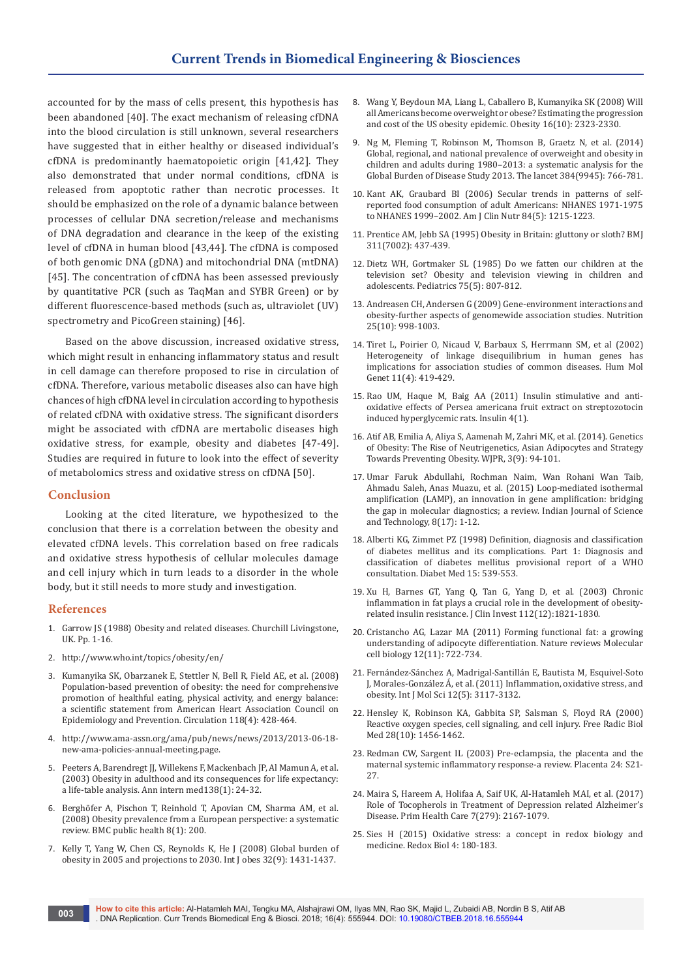accounted for by the mass of cells present, this hypothesis has been abandoned [40]. The exact mechanism of releasing cfDNA into the blood circulation is still unknown, several researchers have suggested that in either healthy or diseased individual's cfDNA is predominantly haematopoietic origin [41,42]. They also demonstrated that under normal conditions, cfDNA is released from apoptotic rather than necrotic processes. It should be emphasized on the role of a dynamic balance between processes of cellular DNA secretion/release and mechanisms of DNA degradation and clearance in the keep of the existing level of cfDNA in human blood [43,44]. The cfDNA is composed of both genomic DNA (gDNA) and mitochondrial DNA (mtDNA) [45]. The concentration of cfDNA has been assessed previously by quantitative PCR (such as TaqMan and SYBR Green) or by different fluorescence-based methods (such as, ultraviolet (UV) spectrometry and PicoGreen staining) [46].

Based on the above discussion, increased oxidative stress, which might result in enhancing inflammatory status and result in cell damage can therefore proposed to rise in circulation of cfDNA. Therefore, various metabolic diseases also can have high chances of high cfDNA level in circulation according to hypothesis of related cfDNA with oxidative stress. The significant disorders might be associated with cfDNA are mertabolic diseases high oxidative stress, for example, obesity and diabetes [47-49]. Studies are required in future to look into the effect of severity of metabolomics stress and oxidative stress on cfDNA [50].

# **Conclusion**

Looking at the cited literature, we hypothesized to the conclusion that there is a correlation between the obesity and elevated cfDNA levels. This correlation based on free radicals and oxidative stress hypothesis of cellular molecules damage and cell injury which in turn leads to a disorder in the whole body, but it still needs to more study and investigation.

# **References**

- 1. Garrow JS (1988) Obesity and related diseases. Churchill Livingstone, UK. Pp. 1-16.
- 2. <http://www.who.int/topics/obesity/en/>
- 3. [Kumanyika SK, Obarzanek E, Stettler N, Bell R, Field AE, et al. \(2008\)](https://www.ncbi.nlm.nih.gov/pubmed/18591433)  [Population-based prevention of obesity: the need for comprehensive](https://www.ncbi.nlm.nih.gov/pubmed/18591433)  [promotion of healthful eating, physical activity, and energy balance:](https://www.ncbi.nlm.nih.gov/pubmed/18591433)  [a scientific statement from American Heart Association Council on](https://www.ncbi.nlm.nih.gov/pubmed/18591433)  [Epidemiology and Prevention. Circulation 118\(4\): 428-464.](https://www.ncbi.nlm.nih.gov/pubmed/18591433)
- 4. [http://www.ama-assn.org/ama/pub/news/news/2013/2013-06-18](http://www.ama-assn.org/ama/pub/news/news/2013/2013-06-18-new-ama-policies-annual-meeting.page) [new-ama-policies-annual-meeting.page](http://www.ama-assn.org/ama/pub/news/news/2013/2013-06-18-new-ama-policies-annual-meeting.page).
- 5. [Peeters A, Barendregt JJ, Willekens F, Mackenbach JP, Al Mamun A, et al.](https://www.ncbi.nlm.nih.gov/pubmed/12513041)  [\(2003\) Obesity in adulthood and its consequences for life expectancy:](https://www.ncbi.nlm.nih.gov/pubmed/12513041)  [a life-table analysis. Ann intern med138\(1\): 24-32.](https://www.ncbi.nlm.nih.gov/pubmed/12513041)
- 6. [Berghöfer A, Pischon T, Reinhold T, Apovian CM, Sharma AM, et al.](https://www.ncbi.nlm.nih.gov/pubmed/18533989)  [\(2008\) Obesity prevalence from a European perspective: a systematic](https://www.ncbi.nlm.nih.gov/pubmed/18533989)  [review. BMC public health 8\(1\): 200.](https://www.ncbi.nlm.nih.gov/pubmed/18533989)
- 7. [Kelly T, Yang W, Chen CS, Reynolds K, He J \(2008\) Global burden of](https://www.ncbi.nlm.nih.gov/pubmed/18607383)  [obesity in 2005 and projections to 2030. Int J obes 32\(9\): 1431-1437.](https://www.ncbi.nlm.nih.gov/pubmed/18607383)
- 8. [Wang Y, Beydoun MA, Liang L, Caballero B, Kumanyika SK \(2008\) Will](https://www.ncbi.nlm.nih.gov/pubmed/18719634)  [all Americans become overweight or obese? Estimating the progression](https://www.ncbi.nlm.nih.gov/pubmed/18719634)  [and cost of the US obesity epidemic. Obesity 16\(10\): 2323-2330.](https://www.ncbi.nlm.nih.gov/pubmed/18719634)
- 9. [Ng M, Fleming T, Robinson M, Thomson B, Graetz N, et al. \(2014\)](https://www.ncbi.nlm.nih.gov/pubmed/24880830)  [Global, regional, and national prevalence of overweight and obesity in](https://www.ncbi.nlm.nih.gov/pubmed/24880830)  [children and adults during 1980–2013: a systematic analysis for the](https://www.ncbi.nlm.nih.gov/pubmed/24880830)  [Global Burden of Disease Study 2013. The lancet 384\(9945\): 766-781.](https://www.ncbi.nlm.nih.gov/pubmed/24880830)
- 10. [Kant AK, Graubard BI \(2006\) Secular trends in patterns of self](https://www.ncbi.nlm.nih.gov/pubmed/17093177)[reported food consumption of adult Americans: NHANES 1971-1975](https://www.ncbi.nlm.nih.gov/pubmed/17093177)  [to NHANES 1999–2002. Am J Clin Nutr 84\(5\): 1215-1223.](https://www.ncbi.nlm.nih.gov/pubmed/17093177)
- 11. [Prentice AM, Jebb SA \(1995\) Obesity in Britain: gluttony or sloth? BMJ](https://www.ncbi.nlm.nih.gov/pubmed/7640595)  [311\(7002\): 437-439.](https://www.ncbi.nlm.nih.gov/pubmed/7640595)
- 12. [Dietz WH, Gortmaker SL \(1985\) Do we fatten our children at the](https://www.ncbi.nlm.nih.gov/pubmed/3873060)  [television set? Obesity and television viewing in children and](https://www.ncbi.nlm.nih.gov/pubmed/3873060)  [adolescents. Pediatrics 75\(5\): 807-812.](https://www.ncbi.nlm.nih.gov/pubmed/3873060)
- 13. [Andreasen CH, Andersen G \(2009\) Gene-environment interactions and](https://www.ncbi.nlm.nih.gov/pubmed/19596186)  [obesity-further aspects of genomewide association studies. Nutrition](https://www.ncbi.nlm.nih.gov/pubmed/19596186)  [25\(10\): 998-1003.](https://www.ncbi.nlm.nih.gov/pubmed/19596186)
- 14. [Tiret L, Poirier O, Nicaud V, Barbaux S, Herrmann SM, et al \(2002\)](https://www.ncbi.nlm.nih.gov/pubmed/11854174)  [Heterogeneity of linkage disequilibrium in human genes has](https://www.ncbi.nlm.nih.gov/pubmed/11854174)  [implications for association studies of common diseases. Hum Mol](https://www.ncbi.nlm.nih.gov/pubmed/11854174)  [Genet 11\(4\): 419-429.](https://www.ncbi.nlm.nih.gov/pubmed/11854174)
- 15. Rao UM, Haque M, Baig AA (2011) Insulin stimulative and antioxidative effects of Persea americana fruit extract on streptozotocin induced hyperglycemic rats. Insulin 4(1).
- 16. [Atif AB, Emilia A, Aliya S, Aamenah M, Zahri MK, et al. \(2014\). Genetics](http://www.wjpr.net/dashboard/abstract_id/1629)  [of Obesity: The Rise of Neutrigenetics, Asian Adipocytes and Strategy](http://www.wjpr.net/dashboard/abstract_id/1629)  [Towards Preventing Obesity. WJPR, 3\(9\): 94-101.](http://www.wjpr.net/dashboard/abstract_id/1629)
- 17. [Umar Faruk Abdullahi, Rochman Naim, Wan Rohani Wan Taib,](http://www.indjst.org/index.php/indjst/article/view/55767)  [Ahmadu Saleh, Anas Muazu, et al. \(2015\) Loop-mediated isothermal](http://www.indjst.org/index.php/indjst/article/view/55767)  [amplification \(LAMP\), an innovation in gene amplification: bridging](http://www.indjst.org/index.php/indjst/article/view/55767)  [the gap in molecular diagnostics; a review. Indian Journal of Science](http://www.indjst.org/index.php/indjst/article/view/55767)  [and Technology, 8\(17\): 1-12.](http://www.indjst.org/index.php/indjst/article/view/55767)
- 18. [Alberti KG, Zimmet PZ \(1998\) Definition, diagnosis and classification](https://www.ncbi.nlm.nih.gov/pubmed/9686693)  [of diabetes mellitus and its complications. Part 1: Diagnosis and](https://www.ncbi.nlm.nih.gov/pubmed/9686693)  [classification of diabetes mellitus provisional report of a WHO](https://www.ncbi.nlm.nih.gov/pubmed/9686693)  [consultation. Diabet Med 15: 539-553.](https://www.ncbi.nlm.nih.gov/pubmed/9686693)
- 19. [Xu H, Barnes GT, Yang Q, Tan G, Yang D, et al. \(2003\) Chronic](https://www.ncbi.nlm.nih.gov/pubmed/14679177)  [inflammation in fat plays a crucial role in the development of obesity](https://www.ncbi.nlm.nih.gov/pubmed/14679177)[related insulin resistance. J Clin Invest 112\(12\):1821-1830.](https://www.ncbi.nlm.nih.gov/pubmed/14679177)
- 20. [Cristancho AG, Lazar MA \(2011\) Forming functional fat: a growing](https://www.ncbi.nlm.nih.gov/pubmed/21952300)  [understanding of adipocyte differentiation. Nature reviews Molecular](https://www.ncbi.nlm.nih.gov/pubmed/21952300)  [cell biology 12\(11\): 722-734.](https://www.ncbi.nlm.nih.gov/pubmed/21952300)
- 21. [Fernández-Sánchez A, Madrigal-Santillán E, Bautista M, Esquivel-Soto](https://www.ncbi.nlm.nih.gov/pubmed/21686173/)  [J, Morales-González Á, et al. \(2011\) Inflammation, oxidative stress, and](https://www.ncbi.nlm.nih.gov/pubmed/21686173/)  [obesity. Int J Mol Sci 12\(5\): 3117-3132.](https://www.ncbi.nlm.nih.gov/pubmed/21686173/)
- 22. [Hensley K, Robinson KA, Gabbita SP, Salsman S, Floyd RA \(2000\)](https://www.ncbi.nlm.nih.gov/pubmed/10927169)  [Reactive oxygen species, cell signaling, and cell injury. Free Radic Biol](https://www.ncbi.nlm.nih.gov/pubmed/10927169)  [Med 28\(10\): 1456-1462.](https://www.ncbi.nlm.nih.gov/pubmed/10927169)
- 23. [Redman CW, Sargent IL \(2003\) Pre-eclampsia, the placenta and the](https://www.ncbi.nlm.nih.gov/pubmed/12842410)  [maternal systemic inflammatory response-a review. Placenta 24: S21-](https://www.ncbi.nlm.nih.gov/pubmed/12842410) [27.](https://www.ncbi.nlm.nih.gov/pubmed/12842410)
- 24. Maira S, Hareem A, Holifaa A, Saif UK, Al-Hatamleh MAI, et al. (2017) Role of Tocopherols in Treatment of Depression related Alzheimer's Disease. Prim Health Care 7(279): 2167-1079.
- 25. [Sies H \(2015\) Oxidative stress: a concept in redox biology and](https://www.ncbi.nlm.nih.gov/pubmed/25588755)  [medicine. Redox Biol 4: 180-183.](https://www.ncbi.nlm.nih.gov/pubmed/25588755)